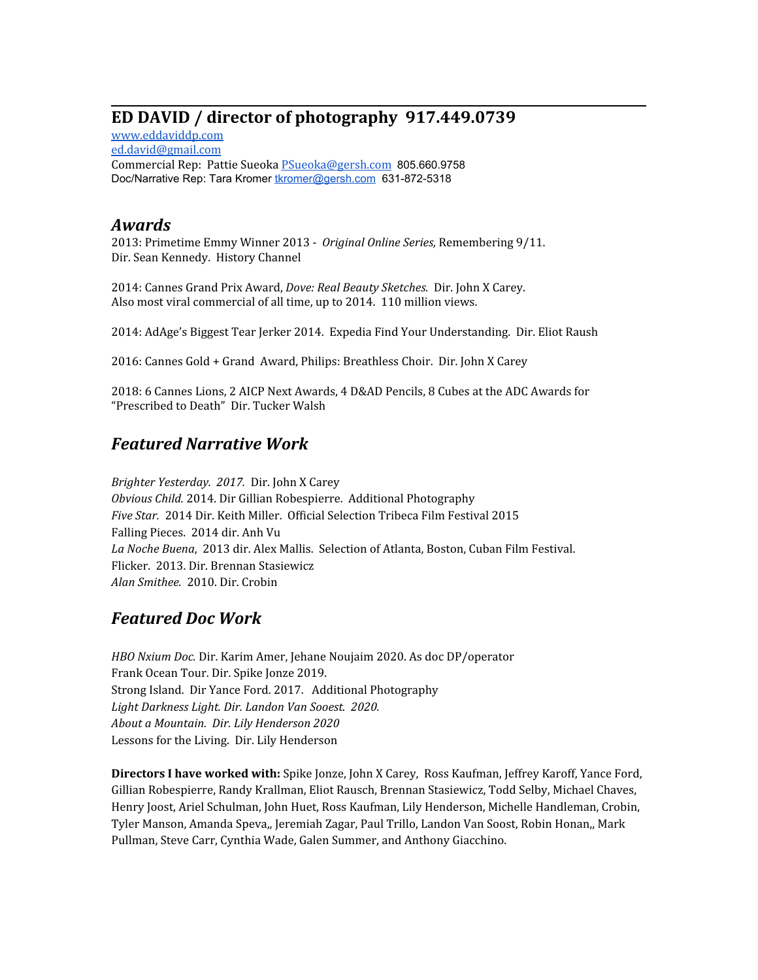## **ED DAVID / director of photography 917.449.0739**

[www.eddaviddp.com](http://www.eddaviddp.com/) [ed.david@gmail.com](mailto:ed.david@gmail.com) Commercial Rep: Pattie Sueoka [PSueoka@gersh.com](mailto:PSueoka@gersh.com) 805.660.9758 Doc/Narrative Rep: Tara Kromer [tkromer@gersh.com](mailto:tkromer@gersh.com) 631-872-5318

## *Awards*

2013: Primetime Emmy Winner 2013 - *Original Online Series,* Remembering 9/11. Dir. Sean Kennedy. History Channel

2014: Cannes Grand Prix Award, *Dove: Real Beauty Sketches.* Dir. John X Carey. Also most viral commercial of all time, up to 2014. 110 million views.

2014: AdAge's Biggest Tear Jerker 2014. Expedia Find Your Understanding. Dir. Eliot Raush

2016: Cannes Gold + Grand Award, Philips: Breathless Choir. Dir. John X Carey

2018: 6 Cannes Lions, 2 AICP Next Awards, 4 D&AD Pencils, 8 Cubes at the ADC Awards for "Prescribed to Death" Dir. Tucker Walsh

## *Featured Narrative Work*

*Brighter Yesterday. 2017.* Dir. John X Carey *Obvious Child.* 2014. Dir Gillian Robespierre. Additional Photography *Five Star.* 2014 Dir. Keith Miller. Official Selection Tribeca Film Festival 2015 Falling Pieces. 2014 dir. Anh Vu *La Noche Buena*, 2013 dir. Alex Mallis. Selection of Atlanta, Boston, Cuban Film Festival. Flicker. 2013. Dir. Brennan Stasiewicz *Alan Smithee.* 2010. Dir. Crobin

## *Featured Doc Work*

*HBO Nxium Doc.* Dir. Karim Amer, Jehane Noujaim 2020. As doc DP/operator Frank Ocean Tour. Dir. Spike Jonze 2019. Strong Island. Dir Yance Ford. 2017. Additional Photography *Light Darkness Light. Dir. Landon Van Sooest. 2020. About a Mountain. Dir. Lily Henderson 2020* Lessons for the Living. Dir. Lily Henderson

**Directors I have worked with:** Spike Jonze, John X Carey, Ross Kaufman, Jeffrey Karoff, Yance Ford, Gillian Robespierre, Randy Krallman, Eliot Rausch, Brennan Stasiewicz, Todd Selby, Michael Chaves, Henry Joost, Ariel Schulman, John Huet, Ross Kaufman, Lily Henderson, Michelle Handleman, Crobin, Tyler Manson, Amanda Speva,, Jeremiah Zagar, Paul Trillo, Landon Van Soost, Robin Honan,, Mark Pullman, Steve Carr, Cynthia Wade, Galen Summer, and Anthony Giacchino.